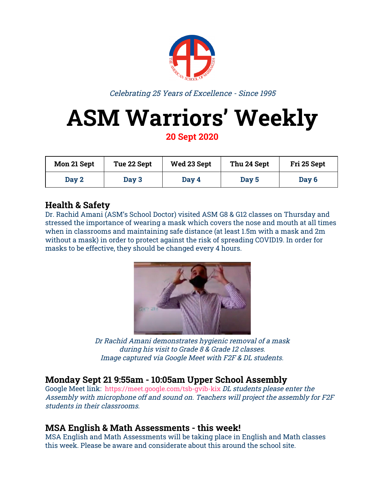

Celebrating 25 Years of Excellence - Since 1995

# **ASM Warriors' Weekly**

**20 Sept 2020**

| Mon 21 Sept | Tue 22 Sept | Wed 23 Sept | Thu 24 Sept | Fri 25 Sept |
|-------------|-------------|-------------|-------------|-------------|
| Day 2       | Day 3       | Day 4       | Day 5       | Day 6       |

### **Health & Safety**

Dr. Rachid Amani (ASM's School Doctor) visited ASM G8 & G12 classes on Thursday and stressed the importance of wearing a mask which covers the nose and mouth at all times when in classrooms and maintaining safe distance (at least 1.5m with a mask and 2m without a mask) in order to protect against the risk of spreading COVID19. In order for masks to be effective, they should be changed every 4 hours.



Dr Rachid Amani demonstrates hygienic removal of <sup>a</sup> mask during his visit to Grade 8 & Grade 12 classes. Image captured via Google Meet with F2F & DL students.

## **Monday Sept 21 9:55am - 10:05am Upper School Assembly**

Google Meet link: [https://meet.google.com/tsb-gvib-kix](https://meet.google.com/vkr-izbq-ivu) DL students please enter the Assembly with microphone off and sound on. Teachers will project the assembly for F2F students in their classrooms.

#### **MSA English & Math Assessments - this week!**

MSA English and Math Assessments will be taking place in English and Math classes this week. Please be aware and considerate about this around the school site.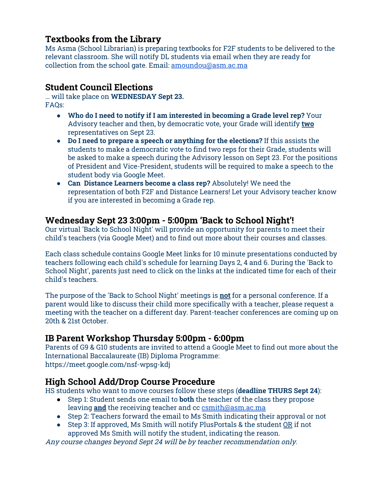#### **Textbooks from the Library**

Ms Asma (School Librarian) is preparing textbooks for F2F students to be delivered to the relevant classroom. She will notify DL students via email when they are ready for collection from the school gate. Email: [amoundou@asm.ac.ma](mailto:amoundou@asm.ac.ma)

#### **Student Council Elections**

… will take place on **WEDNESDAY Sept 23.** FAQs:

- **Who do I need to notify if I am interested in becoming a Grade level rep?** Your Advisory teacher and then, by democratic vote, your Grade will identify **two** representatives on Sept 23.
- **Do I need to prepare a speech or anything for the elections?** If this assists the students to make a democratic vote to find two reps for their Grade, students will be asked to make a speech during the Advisory lesson on Sept 23. For the positions of President and Vice-President, students will be required to make a speech to the student body via Google Meet.
- **Can Distance Learners become a class rep?** Absolutely! We need the representation of both F2F and Distance Learners! Let your Advisory teacher know if you are interested in becoming a Grade rep.

#### **Wednesday Sept 23 3:00pm - 5:00pm 'Back to School Night'!**

Our virtual 'Back to School Night' will provide an opportunity for parents to meet their child's teachers (via Google Meet) and to find out more about their courses and classes.

Each class schedule contains Google Meet links for 10 minute presentations conducted by teachers following each child's schedule for learning Days 2, 4 and 6. During the 'Back to School Night', parents just need to click on the links at the indicated time for each of their child's teachers.

The purpose of the 'Back to School Night' meetings is **not** for a personal conference. If a parent would like to discuss their child more specifically with a teacher, please request a meeting with the teacher on a different day. Parent-teacher conferences are coming up on 20th & 21st October.

#### **IB Parent Workshop Thursday 5:00pm - 6:00pm**

Parents of G9 & G10 students are invited to attend a Google Meet to find out more about the International Baccalaureate (IB) Diploma Programme: <https://meet.google.com/nsf-wpsg-kdj>

#### **High School Add/Drop Course Procedure**

HS students who want to move courses follow these steps (**deadline THURS Sept 24**):

- Step 1: Student sends one email to **both** the teacher of the class they propose leaving **and** the receiving teacher and cc [csmith@asm.ac.ma](mailto:csmith@asm.ac.ma)
- Step 2: Teachers forward the email to Ms Smith indicating their approval or not
- Step 3: If approved, Ms Smith will notify PlusPortals & the student OR if not approved Ms Smith will notify the student, indicating the reason.

Any course changes beyond Sept 24 will be by teacher recommendation only.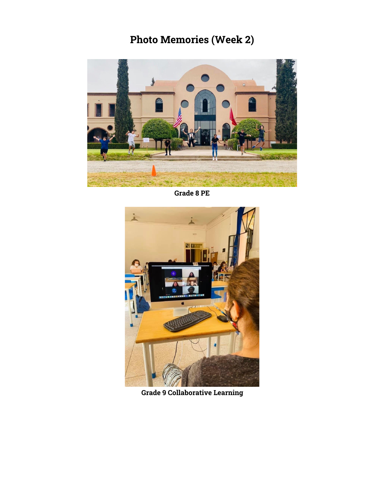# **Photo Memories (Week 2)**



**Grade 8 PE**



**Grade 9 Collaborative Learning**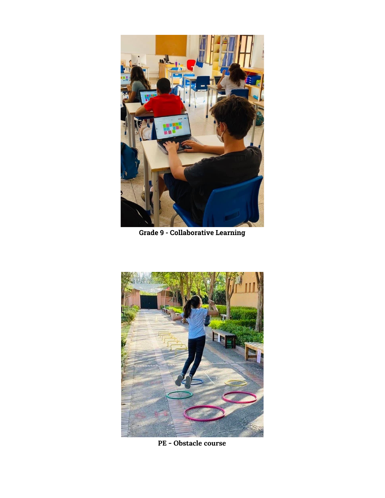

**Grade 9 - Collaborative Learning**



**PE - Obstacle course**